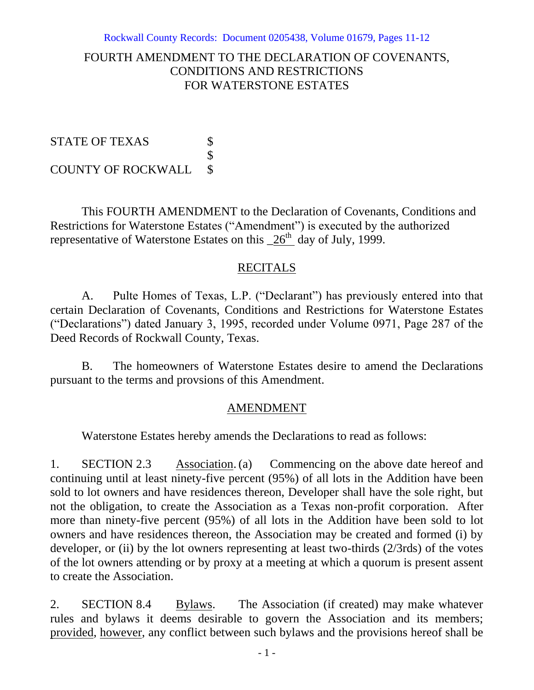### FOURTH AMENDMENT TO THE DECLARATION OF COVENANTS, CONDITIONS AND RESTRICTIONS FOR WATERSTONE ESTATES

STATE OF TEXAS \$ \$ COUNTY OF ROCKWALL \$

This FOURTH AMENDMENT to the Declaration of Covenants, Conditions and Restrictions for Waterstone Estates ("Amendment") is executed by the authorized representative of Waterstone Estates on this  $26<sup>th</sup>$  day of July, 1999.

# RECITALS

A. Pulte Homes of Texas, L.P. ("Declarant") has previously entered into that certain Declaration of Covenants, Conditions and Restrictions for Waterstone Estates ("Declarations") dated January 3, 1995, recorded under Volume 0971, Page 287 of the Deed Records of Rockwall County, Texas.

B. The homeowners of Waterstone Estates desire to amend the Declarations pursuant to the terms and provsions of this Amendment.

# AMENDMENT

Waterstone Estates hereby amends the Declarations to read as follows:

1. SECTION 2.3 Association. (a) Commencing on the above date hereof and continuing until at least ninety-five percent (95%) of all lots in the Addition have been sold to lot owners and have residences thereon, Developer shall have the sole right, but not the obligation, to create the Association as a Texas non-profit corporation. After more than ninety-five percent (95%) of all lots in the Addition have been sold to lot owners and have residences thereon, the Association may be created and formed (i) by developer, or (ii) by the lot owners representing at least two-thirds (2/3rds) of the votes of the lot owners attending or by proxy at a meeting at which a quorum is present assent to create the Association.

2. SECTION 8.4 Bylaws. The Association (if created) may make whatever rules and bylaws it deems desirable to govern the Association and its members; provided, however, any conflict between such bylaws and the provisions hereof shall be